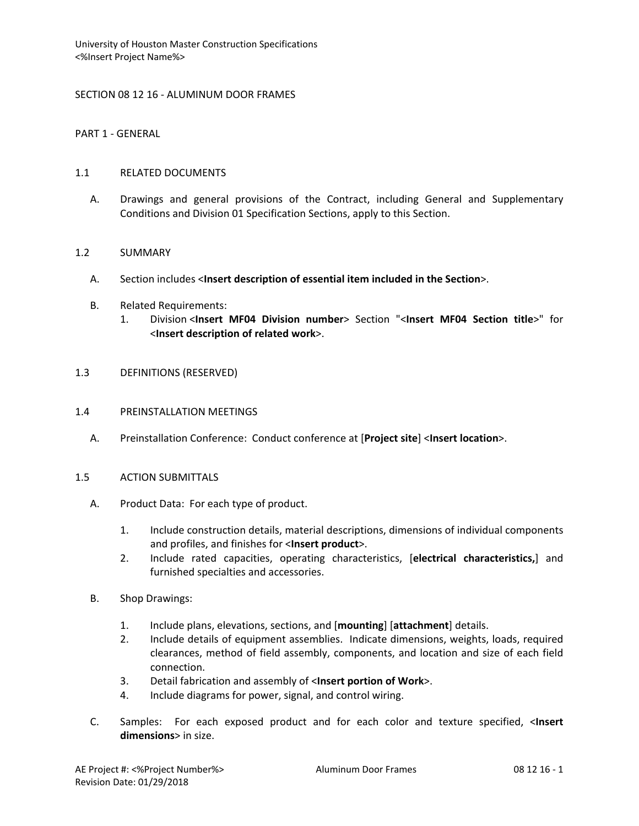# SECTION 08 12 16 - ALUMINUM DOOR FRAMES

PART 1 - GENERAL

#### 1.1 RELATED DOCUMENTS

A. Drawings and general provisions of the Contract, including General and Supplementary Conditions and Division 01 Specification Sections, apply to this Section.

# 1.2 SUMMARY

- A. Section includes <**Insert description of essential item included in the Section**>.
- B. Related Requirements:
	- 1. Division <**Insert MF04 Division number**> Section "<**Insert MF04 Section title**>" for <**Insert description of related work**>.

# 1.3 DEFINITIONS (RESERVED)

#### 1.4 PREINSTALLATION MEETINGS

A. Preinstallation Conference: Conduct conference at [**Project site**] <**Insert location**>.

# 1.5 ACTION SUBMITTALS

- A. Product Data: For each type of product.
	- 1. Include construction details, material descriptions, dimensions of individual components and profiles, and finishes for <**Insert product**>.
	- 2. Include rated capacities, operating characteristics, [**electrical characteristics,**] and furnished specialties and accessories.
- B. Shop Drawings:
	- 1. Include plans, elevations, sections, and [**mounting**] [**attachment**] details.
	- 2. Include details of equipment assemblies. Indicate dimensions, weights, loads, required clearances, method of field assembly, components, and location and size of each field connection.
	- 3. Detail fabrication and assembly of <**Insert portion of Work**>.
	- 4. Include diagrams for power, signal, and control wiring.
- C. Samples: For each exposed product and for each color and texture specified, <**Insert dimensions**> in size.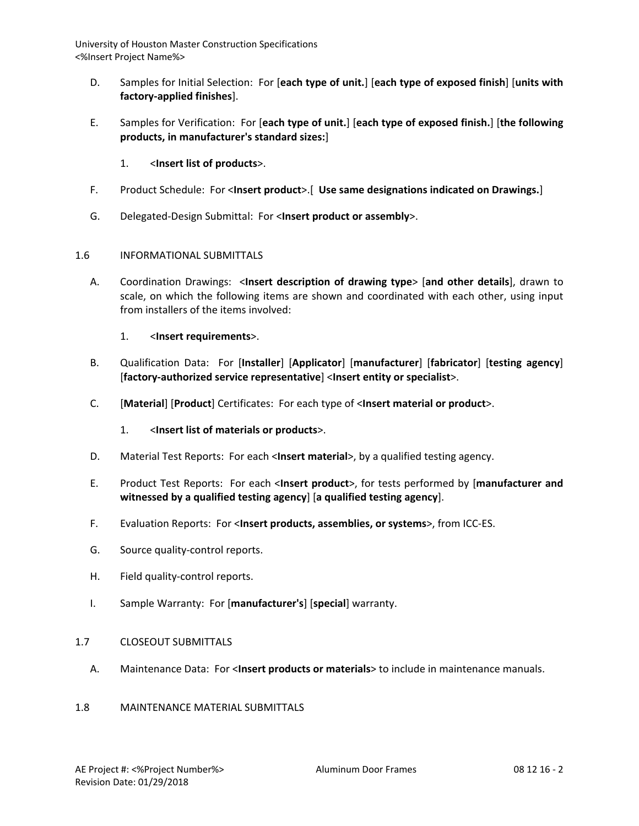- D. Samples for Initial Selection: For [**each type of unit.**] [**each type of exposed finish**] [**units with factory-applied finishes**].
- E. Samples for Verification: For [**each type of unit.**] [**each type of exposed finish.**] [**the following products, in manufacturer's standard sizes:**]
	- 1. <**Insert list of products**>.
- F. Product Schedule: For <**Insert product**>.[ **Use same designations indicated on Drawings.**]
- G. Delegated-Design Submittal: For <**Insert product or assembly**>.

# 1.6 INFORMATIONAL SUBMITTALS

- A. Coordination Drawings: <**Insert description of drawing type**> [**and other details**], drawn to scale, on which the following items are shown and coordinated with each other, using input from installers of the items involved:
	- 1. <**Insert requirements**>.
- B. Qualification Data: For [**Installer**] [**Applicator**] [**manufacturer**] [**fabricator**] [**testing agency**] [**factory-authorized service representative**] <**Insert entity or specialist**>.
- C. [**Material**] [**Product**] Certificates: For each type of <**Insert material or product**>.
	- 1. <**Insert list of materials or products**>.
- D. Material Test Reports: For each <**Insert material**>, by a qualified testing agency.
- E. Product Test Reports: For each <**Insert product**>, for tests performed by [**manufacturer and witnessed by a qualified testing agency**] [**a qualified testing agency**].
- F. Evaluation Reports: For <**Insert products, assemblies, or systems**>, from ICC-ES.
- G. Source quality-control reports.
- H. Field quality-control reports.
- I. Sample Warranty: For [**manufacturer's**] [**special**] warranty.

# 1.7 CLOSEOUT SUBMITTALS

A. Maintenance Data: For <**Insert products or materials**> to include in maintenance manuals.

#### 1.8 MAINTENANCE MATERIAL SUBMITTALS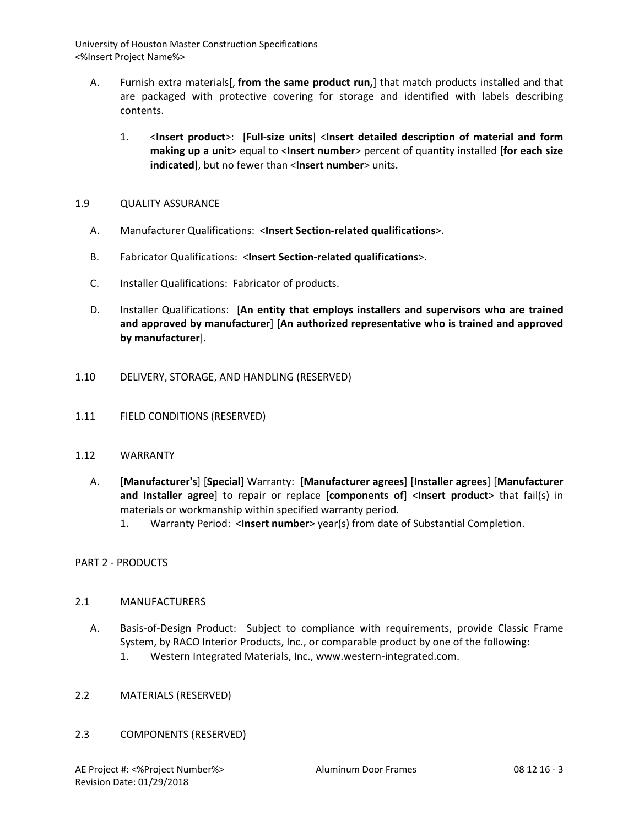- A. Furnish extra materials[, **from the same product run,**] that match products installed and that are packaged with protective covering for storage and identified with labels describing contents.
	- 1. <**Insert product**>: [**Full-size units**] <**Insert detailed description of material and form making up a unit**> equal to <**Insert number**> percent of quantity installed [**for each size indicated**], but no fewer than <**Insert number**> units.

# 1.9 QUALITY ASSURANCE

- A. Manufacturer Qualifications: <**Insert Section-related qualifications**>.
- B. Fabricator Qualifications: <**Insert Section-related qualifications**>.
- C. Installer Qualifications: Fabricator of products.
- D. Installer Qualifications: [**An entity that employs installers and supervisors who are trained and approved by manufacturer**] [**An authorized representative who is trained and approved by manufacturer**].
- 1.10 DELIVERY, STORAGE, AND HANDLING (RESERVED)
- 1.11 FIELD CONDITIONS (RESERVED)
- 1.12 WARRANTY
	- A. [**Manufacturer's**] [**Special**] Warranty: [**Manufacturer agrees**] [**Installer agrees**] [**Manufacturer and Installer agree**] to repair or replace [**components of**] <**Insert product**> that fail(s) in materials or workmanship within specified warranty period.
		- 1. Warranty Period: <**Insert number**> year(s) from date of Substantial Completion.

PART 2 - PRODUCTS

# 2.1 MANUFACTURERS

- A. Basis-of-Design Product: Subject to compliance with requirements, provide Classic Frame System, by RACO Interior Products, Inc., or comparable product by one of the following:
	- 1. Western Integrated Materials, Inc., www.western-integrated.com.
- 2.2 MATERIALS (RESERVED)
- 2.3 COMPONENTS (RESERVED)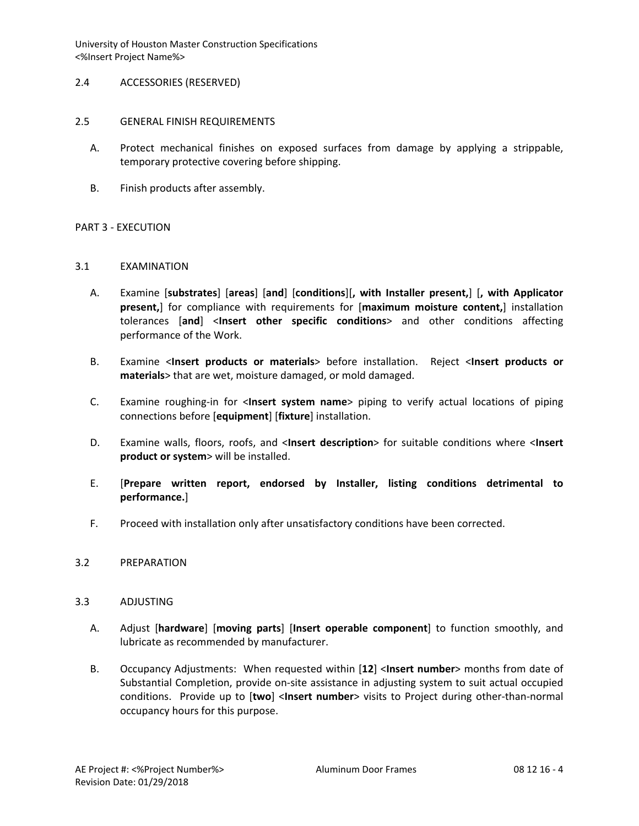- 2.4 ACCESSORIES (RESERVED)
- 2.5 GENERAL FINISH REQUIREMENTS
	- A. Protect mechanical finishes on exposed surfaces from damage by applying a strippable, temporary protective covering before shipping.
	- B. Finish products after assembly.

# PART 3 - EXECUTION

# 3.1 EXAMINATION

- A. Examine [**substrates**] [**areas**] [**and**] [**conditions**][**, with Installer present,**] [**, with Applicator present,**] for compliance with requirements for [**maximum moisture content,**] installation tolerances [**and**] <**Insert other specific conditions**> and other conditions affecting performance of the Work.
- B. Examine <**Insert products or materials**> before installation. Reject <**Insert products or materials**> that are wet, moisture damaged, or mold damaged.
- C. Examine roughing-in for <**Insert system name**> piping to verify actual locations of piping connections before [**equipment**] [**fixture**] installation.
- D. Examine walls, floors, roofs, and <**Insert description**> for suitable conditions where <**Insert product or system**> will be installed.
- E. [**Prepare written report, endorsed by Installer, listing conditions detrimental to performance.**]
- F. Proceed with installation only after unsatisfactory conditions have been corrected.

#### 3.2 PREPARATION

#### 3.3 ADJUSTING

- A. Adjust [**hardware**] [**moving parts**] [**Insert operable component**] to function smoothly, and lubricate as recommended by manufacturer.
- B. Occupancy Adjustments: When requested within [**12**] <**Insert number**> months from date of Substantial Completion, provide on-site assistance in adjusting system to suit actual occupied conditions. Provide up to [**two**] <**Insert number**> visits to Project during other-than-normal occupancy hours for this purpose.